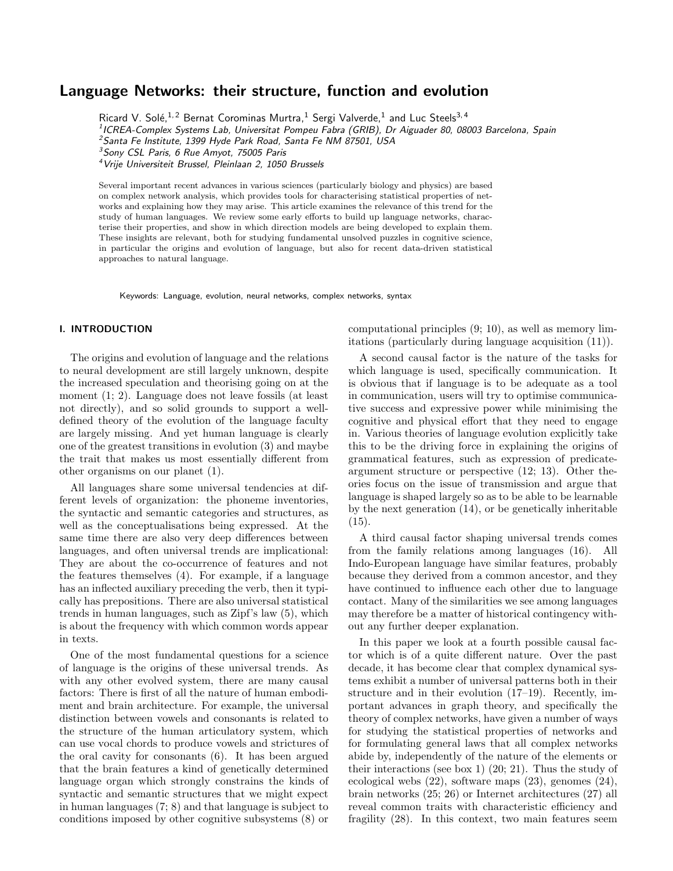# Language Networks: their structure, function and evolution

Ricard V. Solé,  $1, 2$  Bernat Corominas Murtra,  $1$  Sergi Valverde,  $1$  and Luc Steels  $3, 4$ 

<sup>1</sup> ICREA-Complex Systems Lab, Universitat Pompeu Fabra (GRIB), Dr Aiguader 80, 08003 Barcelona, Spain

<sup>2</sup>Santa Fe Institute, 1399 Hyde Park Road, Santa Fe NM 87501, USA

<sup>3</sup>Sony CSL Paris, 6 Rue Amyot, 75005 Paris

<sup>4</sup>Vrije Universiteit Brussel, Pleinlaan 2, 1050 Brussels

Several important recent advances in various sciences (particularly biology and physics) are based on complex network analysis, which provides tools for characterising statistical properties of networks and explaining how they may arise. This article examines the relevance of this trend for the study of human languages. We review some early efforts to build up language networks, characterise their properties, and show in which direction models are being developed to explain them. These insights are relevant, both for studying fundamental unsolved puzzles in cognitive science, in particular the origins and evolution of language, but also for recent data-driven statistical approaches to natural language.

Keywords: Language, evolution, neural networks, complex networks, syntax

## I. INTRODUCTION

The origins and evolution of language and the relations to neural development are still largely unknown, despite the increased speculation and theorising going on at the moment (1; 2). Language does not leave fossils (at least not directly), and so solid grounds to support a welldefined theory of the evolution of the language faculty are largely missing. And yet human language is clearly one of the greatest transitions in evolution (3) and maybe the trait that makes us most essentially different from other organisms on our planet (1).

All languages share some universal tendencies at different levels of organization: the phoneme inventories, the syntactic and semantic categories and structures, as well as the conceptualisations being expressed. At the same time there are also very deep differences between languages, and often universal trends are implicational: They are about the co-occurrence of features and not the features themselves (4). For example, if a language has an inflected auxiliary preceding the verb, then it typically has prepositions. There are also universal statistical trends in human languages, such as Zipf's law (5), which is about the frequency with which common words appear in texts.

One of the most fundamental questions for a science of language is the origins of these universal trends. As with any other evolved system, there are many causal factors: There is first of all the nature of human embodiment and brain architecture. For example, the universal distinction between vowels and consonants is related to the structure of the human articulatory system, which can use vocal chords to produce vowels and strictures of the oral cavity for consonants (6). It has been argued that the brain features a kind of genetically determined language organ which strongly constrains the kinds of syntactic and semantic structures that we might expect in human languages (7; 8) and that language is subject to conditions imposed by other cognitive subsystems (8) or

computational principles (9; 10), as well as memory limitations (particularly during language acquisition (11)).

A second causal factor is the nature of the tasks for which language is used, specifically communication. It is obvious that if language is to be adequate as a tool in communication, users will try to optimise communicative success and expressive power while minimising the cognitive and physical effort that they need to engage in. Various theories of language evolution explicitly take this to be the driving force in explaining the origins of grammatical features, such as expression of predicateargument structure or perspective (12; 13). Other theories focus on the issue of transmission and argue that language is shaped largely so as to be able to be learnable by the next generation (14), or be genetically inheritable  $(15).$ 

A third causal factor shaping universal trends comes from the family relations among languages (16). All Indo-European language have similar features, probably because they derived from a common ancestor, and they have continued to influence each other due to language contact. Many of the similarities we see among languages may therefore be a matter of historical contingency without any further deeper explanation.

In this paper we look at a fourth possible causal factor which is of a quite different nature. Over the past decade, it has become clear that complex dynamical systems exhibit a number of universal patterns both in their structure and in their evolution (17–19). Recently, important advances in graph theory, and specifically the theory of complex networks, have given a number of ways for studying the statistical properties of networks and for formulating general laws that all complex networks abide by, independently of the nature of the elements or their interactions (see box 1) (20; 21). Thus the study of ecological webs (22), software maps (23), genomes (24), brain networks (25; 26) or Internet architectures (27) all reveal common traits with characteristic efficiency and fragility (28). In this context, two main features seem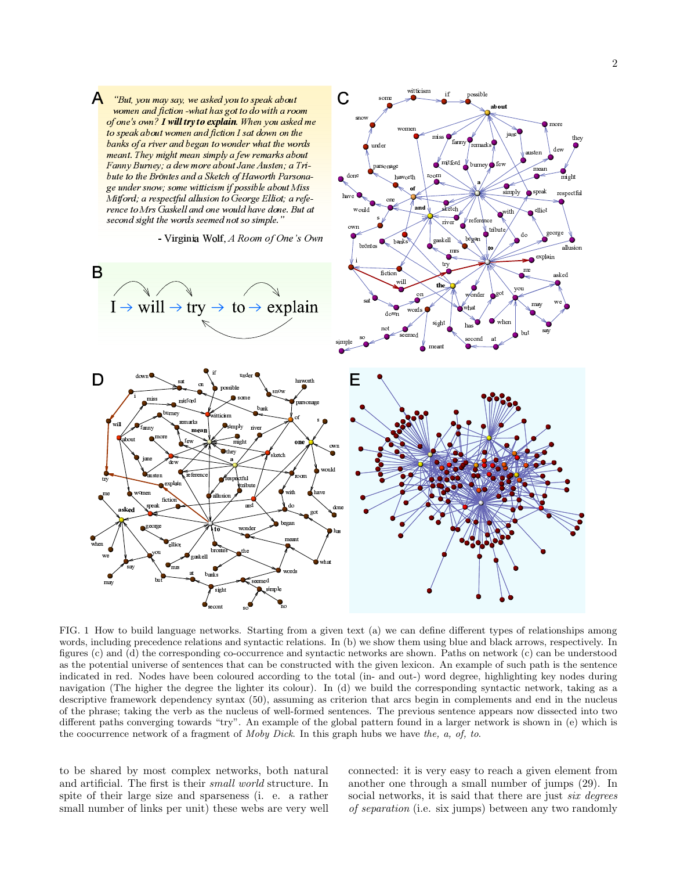$\blacksquare$ 

®»¨¯«³

ª ¼«

¯µ«¸

 ¼«¨Á«ů©»¿ might

ªn«®<sup>³</sup>

« in → silist i

speak

Á ¨¨§º¿«

«²

simply

¼ «ªn®¼À¨

º»¼³«¸

ab out

°!±

≀ a Ifoot∩i

and

ª§¨¨

²ª@«³

²§¯¯§Å§¨ª

 $\bullet$ 

¨À«¯Å<sup>µ</sup>

ª§¯© ¼<sup>¬</sup>

 $\mathbf{A}$ "But, you may say, we asked you to speak about women and fiction -what has got to do with a room of one's own? I will try to explain. When you asked me to speak about women and fiction I sat down on the banks of a river and began to wonder what the words  $\overline{\mathbf{m}}$  meant. They might mean simply a few remarks about Fanny Burney; a dew more about Jane Austen; a Tribute to the Bröntes and a Sketch of Haworth Parsonage under snow; some witticism if possible about Miss  $\tilde{M}$ itford; a respectful allusion to George Elliot; a reference to Mrs Gaskell and one would have done. But at second sight the words seemed not so simple."



µ®¾i«done

Ë

under

parsonage<br>.

FIG. 1 How to build language networks. Starting from a given text (a) we can define different types of relationships among words, including precedence relations and syntactic relations. In (b) we show them using blue and black arrows, respectively. In figures (c) and (d) the corresponding co-occurrence and syntactic networks are shown. Paths on network (c) can be understood as the potential universe of sentences that can be constructed with the given lexicon. An example of such path is the sentence indicated in red. Nodes have been coloured according to the total (in- and out-) word degree, highlighting key nodes during navigation (The higher the degree the lighter its colour). In (d) we build the corresponding syntactic network, taking as a descriptive framework dependency syntax (50), assuming as criterion that arcs begin in complements and end in the nucleus of the phrase; taking the verb as the nucleus of well-formed sentences. The previous sentence appears now dissected into two different paths converging towards "try". An example of the global pattern found in a larger network is shown in (e) which is the coocurrence network of a fragment of Moby Dick. In this graph hubs we have the, a, of, to.

to be shared by most complex networks, both natural and artificial. The first is their small world structure. In spite of their large size and sparseness (i. e. a rather small number of links per unit) these webs are very well

connected: it is very easy to reach a given element from another one through a small number of jumps (29). In social networks, it is said that there are just *six degrees* of separation (i.e. six jumps) between any two randomly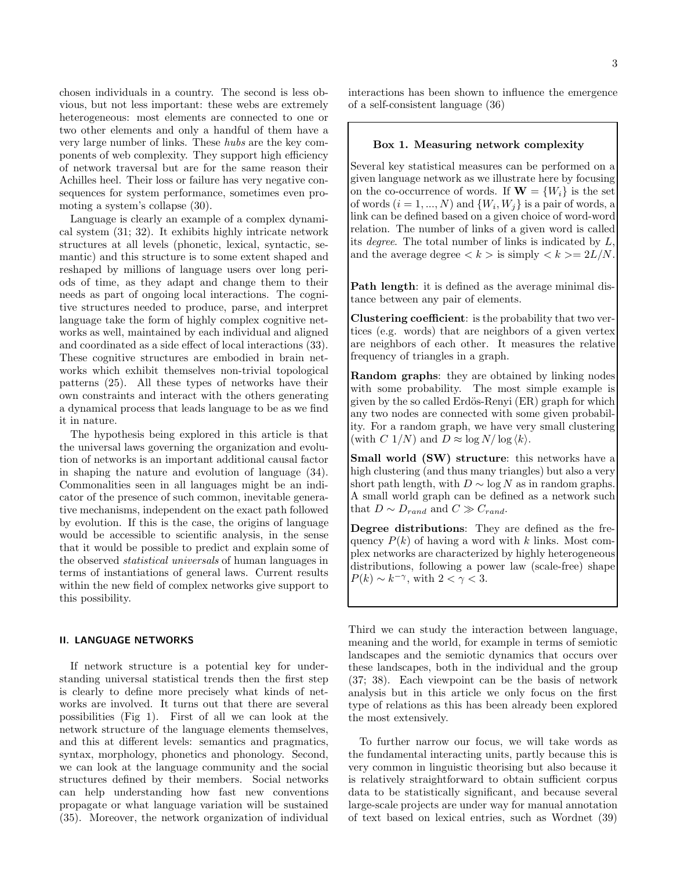chosen individuals in a country. The second is less obvious, but not less important: these webs are extremely heterogeneous: most elements are connected to one or two other elements and only a handful of them have a very large number of links. These hubs are the key components of web complexity. They support high efficiency of network traversal but are for the same reason their Achilles heel. Their loss or failure has very negative consequences for system performance, sometimes even promoting a system's collapse (30).

Language is clearly an example of a complex dynamical system (31; 32). It exhibits highly intricate network structures at all levels (phonetic, lexical, syntactic, semantic) and this structure is to some extent shaped and reshaped by millions of language users over long periods of time, as they adapt and change them to their needs as part of ongoing local interactions. The cognitive structures needed to produce, parse, and interpret language take the form of highly complex cognitive networks as well, maintained by each individual and aligned and coordinated as a side effect of local interactions (33). These cognitive structures are embodied in brain networks which exhibit themselves non-trivial topological patterns (25). All these types of networks have their own constraints and interact with the others generating a dynamical process that leads language to be as we find it in nature.

The hypothesis being explored in this article is that the universal laws governing the organization and evolution of networks is an important additional causal factor in shaping the nature and evolution of language (34). Commonalities seen in all languages might be an indicator of the presence of such common, inevitable generative mechanisms, independent on the exact path followed by evolution. If this is the case, the origins of language would be accessible to scientific analysis, in the sense that it would be possible to predict and explain some of the observed statistical universals of human languages in terms of instantiations of general laws. Current results within the new field of complex networks give support to this possibility.

## II. LANGUAGE NETWORKS

If network structure is a potential key for understanding universal statistical trends then the first step is clearly to define more precisely what kinds of networks are involved. It turns out that there are several possibilities (Fig 1). First of all we can look at the network structure of the language elements themselves, and this at different levels: semantics and pragmatics, syntax, morphology, phonetics and phonology. Second, we can look at the language community and the social structures defined by their members. Social networks can help understanding how fast new conventions propagate or what language variation will be sustained (35). Moreover, the network organization of individual

interactions has been shown to influence the emergence of a self-consistent language (36)

## Box 1. Measuring network complexity

Several key statistical measures can be performed on a given language network as we illustrate here by focusing on the co-occurrence of words. If  $\mathbf{W} = \{W_i\}$  is the set of words  $(i = 1, ..., N)$  and  $\{W_i, W_j\}$  is a pair of words, a link can be defined based on a given choice of word-word relation. The number of links of a given word is called its *degree*. The total number of links is indicated by  $L$ , and the average degree  $\langle k \rangle$  is simply  $\langle k \rangle = 2L/N$ .

Path length: it is defined as the average minimal distance between any pair of elements.

Clustering coefficient: is the probability that two vertices (e.g. words) that are neighbors of a given vertex are neighbors of each other. It measures the relative frequency of triangles in a graph.

Random graphs: they are obtained by linking nodes with some probability. The most simple example is given by the so called Erdös-Renyi (ER) graph for which any two nodes are connected with some given probability. For a random graph, we have very small clustering (with C  $1/N$ ) and  $D \approx \log N / \log \langle k \rangle$ .

Small world (SW) structure: this networks have a high clustering (and thus many triangles) but also a very short path length, with  $D \sim \log N$  as in random graphs. A small world graph can be defined as a network such that  $D \sim D_{rand}$  and  $C \gg C_{rand}$ .

Degree distributions: They are defined as the frequency  $P(k)$  of having a word with k links. Most complex networks are characterized by highly heterogeneous distributions, following a power law (scale-free) shape  $P(k) \sim k^{-\gamma}$ , with  $2 < \gamma < 3$ .

Third we can study the interaction between language, meaning and the world, for example in terms of semiotic landscapes and the semiotic dynamics that occurs over these landscapes, both in the individual and the group (37; 38). Each viewpoint can be the basis of network analysis but in this article we only focus on the first type of relations as this has been already been explored the most extensively.

To further narrow our focus, we will take words as the fundamental interacting units, partly because this is very common in linguistic theorising but also because it is relatively straightforward to obtain sufficient corpus data to be statistically significant, and because several large-scale projects are under way for manual annotation of text based on lexical entries, such as Wordnet (39)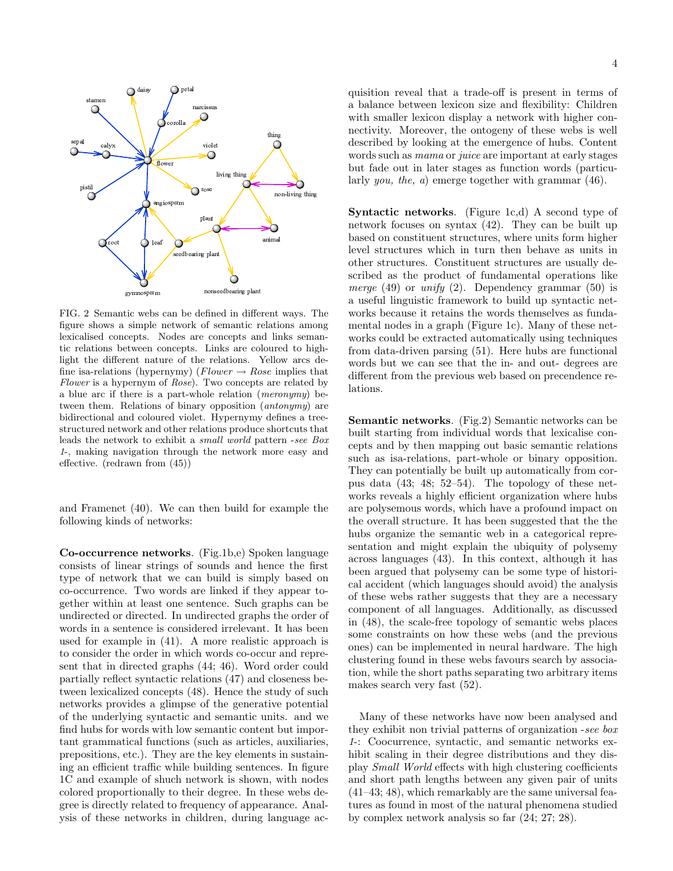

FIG. 2 Semantic webs can be defined in different ways. The figure shows a simple network of semantic relations among lexicalised concepts. Nodes are concepts and links semantic relations between concepts. Links are coloured to highlight the different nature of the relations. Yellow arcs define isa-relations (hypernymy) ( $Flower \rightarrow Rose$  implies that Flower is a hypernym of Rose). Two concepts are related by a blue arc if there is a part-whole relation (meronymy) between them. Relations of binary opposition (antonymy) are bidirectional and coloured violet. Hypernymy defines a treestructured network and other relations produce shortcuts that leads the network to exhibit a small world pattern -see Box 1-, making navigation through the network more easy and effective. (redrawn from (45))

and Framenet (40). We can then build for example the following kinds of networks:

Co-occurrence networks. (Fig.1b,e) Spoken language consists of linear strings of sounds and hence the first type of network that we can build is simply based on co-occurrence. Two words are linked if they appear together within at least one sentence. Such graphs can be undirected or directed. In undirected graphs the order of words in a sentence is considered irrelevant. It has been used for example in (41). A more realistic approach is to consider the order in which words co-occur and represent that in directed graphs (44; 46). Word order could partially reflect syntactic relations (47) and closeness between lexicalized concepts (48). Hence the study of such networks provides a glimpse of the generative potential of the underlying syntactic and semantic units. and we find hubs for words with low semantic content but important grammatical functions (such as articles, auxiliaries, prepositions, etc.). They are the key elements in sustaining an efficient traffic while building sentences. In figure 1C and example of shuch network is shown, with nodes colored proportionally to their degree. In these webs degree is directly related to frequency of appearance. Analysis of these networks in children, during language ac-

quisition reveal that a trade-off is present in terms of a balance between lexicon size and flexibility: Children with smaller lexicon display a network with higher connectivity. Moreover, the ontogeny of these webs is well described by looking at the emergence of hubs. Content words such as mama or juice are important at early stages but fade out in later stages as function words (particularly you, the, a) emerge together with grammar (46).

Syntactic networks. (Figure 1c,d) A second type of network focuses on syntax (42). They can be built up based on constituent structures, where units form higher level structures which in turn then behave as units in other structures. Constituent structures are usually described as the product of fundamental operations like *merge* (49) or *unify* (2). Dependency grammar (50) is a useful linguistic framework to build up syntactic networks because it retains the words themselves as fundamental nodes in a graph (Figure 1c). Many of these networks could be extracted automatically using techniques from data-driven parsing (51). Here hubs are functional words but we can see that the in- and out- degrees are different from the previous web based on precendence relations.

Semantic networks. (Fig.2) Semantic networks can be built starting from individual words that lexicalise concepts and by then mapping out basic semantic relations such as isa-relations, part-whole or binary opposition. They can potentially be built up automatically from corpus data (43; 48; 52–54). The topology of these networks reveals a highly efficient organization where hubs are polysemous words, which have a profound impact on the overall structure. It has been suggested that the the hubs organize the semantic web in a categorical representation and might explain the ubiquity of polysemy across languages (43). In this context, although it has been argued that polysemy can be some type of historical accident (which languages should avoid) the analysis of these webs rather suggests that they are a necessary component of all languages. Additionally, as discussed in (48), the scale-free topology of semantic webs places some constraints on how these webs (and the previous ones) can be implemented in neural hardware. The high clustering found in these webs favours search by association, while the short paths separating two arbitrary items makes search very fast (52).

Many of these networks have now been analysed and they exhibit non trivial patterns of organization -see box 1-: Coocurrence, syntactic, and semantic networks exhibit scaling in their degree distributions and they display Small World effects with high clustering coefficients and short path lengths between any given pair of units (41–43; 48), which remarkably are the same universal features as found in most of the natural phenomena studied by complex network analysis so far (24; 27; 28).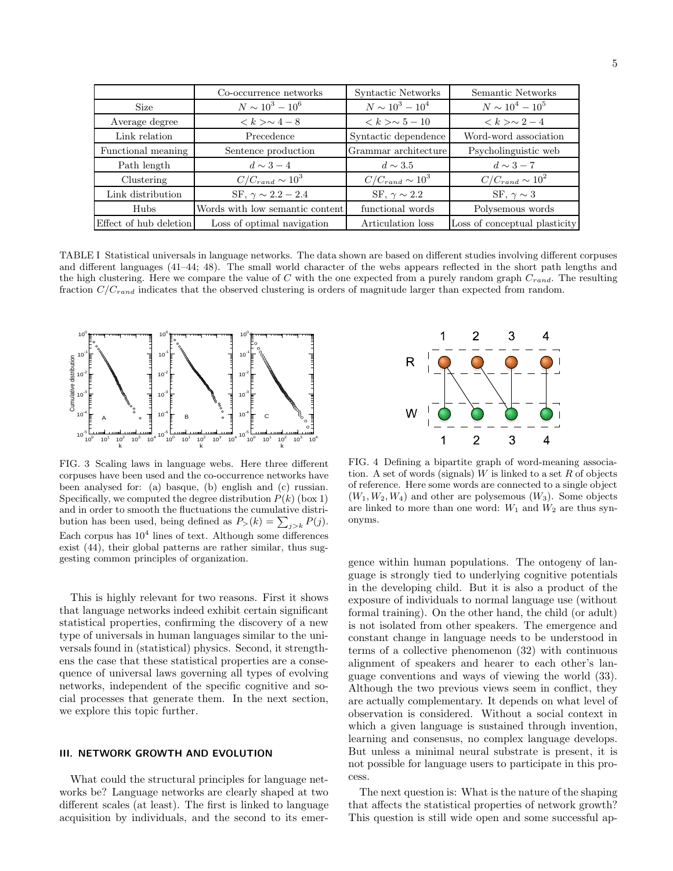|                        | Co-occurrence networks          | Syntactic Networks            | Semantic Networks             |
|------------------------|---------------------------------|-------------------------------|-------------------------------|
| <b>Size</b>            | $N \sim 10^3 - 10^6$            | $N \sim 10^3 - 10^4$          | $N \sim 10^4 - 10^5$          |
| Average degree         | $k > \sim 4-8$                  | $\langle k \rangle \sim 5-10$ | $k > 2 - 4$                   |
| Link relation          | Precedence                      | Syntactic dependence          | Word-word association         |
| Functional meaning     | Sentence production             | Grammar architecture          | Psycholinguistic web          |
| Path length            | $d \sim 3-4$                    | $d \sim 3.5$                  | $d \sim 3-7$                  |
| Clustering             | $C/C_{rand} \sim 10^3$          | $C/C_{rand} \sim 10^3$        | $C/C_{rand} \sim 10^2$        |
| Link distribution      | SF, $\gamma \sim 2.2 - 2.4$     | SF, $\gamma \sim 2.2$         | SF, $\gamma \sim 3$           |
| <b>Hubs</b>            | Words with low semantic content | functional words              | Polysemous words              |
| Effect of hub deletion | Loss of optimal navigation      | Articulation loss             | Loss of conceptual plasticity |

TABLE I Statistical universals in language networks. The data shown are based on different studies involving different corpuses and different languages (41–44; 48). The small world character of the webs appears reflected in the short path lengths and the high clustering. Here we compare the value of  $C$  with the one expected from a purely random graph  $C_{rand}$ . The resulting fraction  $C/C_{rand}$  indicates that the observed clustering is orders of magnitude larger than expected from random.



FIG. 3 Scaling laws in language webs. Here three different corpuses have been used and the co-occurrence networks have been analysed for: (a) basque, (b) english and (c) russian. Specifically, we computed the degree distribution  $P(k)$  (box 1) and in order to smooth the fluctuations the cumulative distribution has been used, being defined as  $P_>(k) = \sum_{j>k} P(j)$ . Each corpus has  $10^4$  lines of text. Although some differences exist (44), their global patterns are rather similar, thus suggesting common principles of organization.

This is highly relevant for two reasons. First it shows that language networks indeed exhibit certain significant statistical properties, confirming the discovery of a new type of universals in human languages similar to the universals found in (statistical) physics. Second, it strengthens the case that these statistical properties are a consequence of universal laws governing all types of evolving networks, independent of the specific cognitive and social processes that generate them. In the next section, we explore this topic further.

## III. NETWORK GROWTH AND EVOLUTION

What could the structural principles for language networks be? Language networks are clearly shaped at two different scales (at least). The first is linked to language acquisition by individuals, and the second to its emer-



FIG. 4 Defining a bipartite graph of word-meaning association. A set of words (signals) W is linked to a set  $R$  of objects of reference. Here some words are connected to a single object  $(W_1, W_2, W_4)$  and other are polysemous  $(W_3)$ . Some objects are linked to more than one word:  $W_1$  and  $W_2$  are thus synonyms.

gence within human populations. The ontogeny of language is strongly tied to underlying cognitive potentials in the developing child. But it is also a product of the exposure of individuals to normal language use (without formal training). On the other hand, the child (or adult) is not isolated from other speakers. The emergence and constant change in language needs to be understood in terms of a collective phenomenon (32) with continuous alignment of speakers and hearer to each other's language conventions and ways of viewing the world (33). Although the two previous views seem in conflict, they are actually complementary. It depends on what level of observation is considered. Without a social context in which a given language is sustained through invention, learning and consensus, no complex language develops. But unless a minimal neural substrate is present, it is not possible for language users to participate in this process.

The next question is: What is the nature of the shaping that affects the statistical properties of network growth? This question is still wide open and some successful ap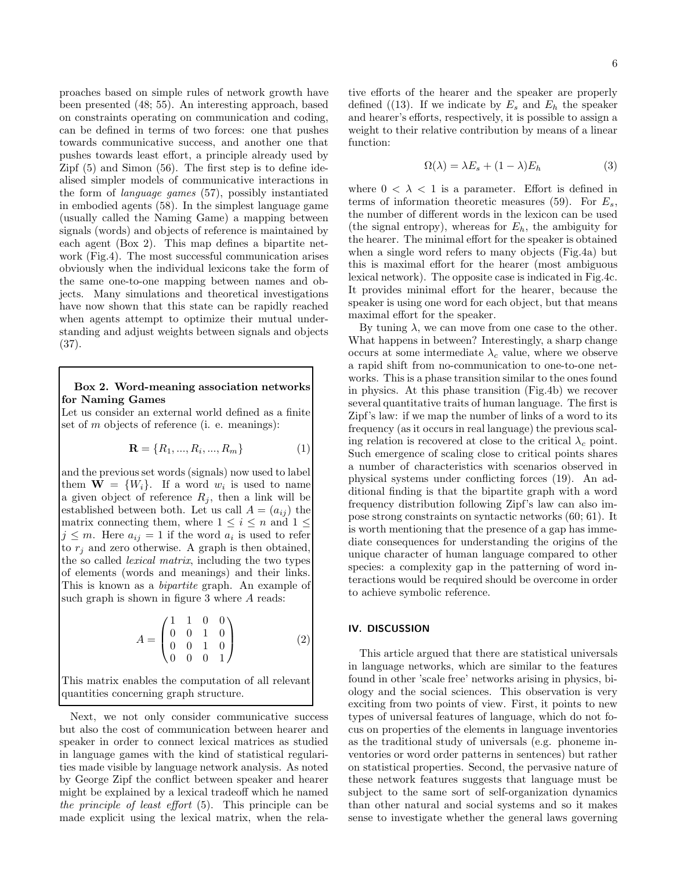proaches based on simple rules of network growth have been presented (48; 55). An interesting approach, based on constraints operating on communication and coding, can be defined in terms of two forces: one that pushes towards communicative success, and another one that pushes towards least effort, a principle already used by Zipf (5) and Simon (56). The first step is to define idealised simpler models of communicative interactions in the form of language games (57), possibly instantiated in embodied agents (58). In the simplest language game (usually called the Naming Game) a mapping between signals (words) and objects of reference is maintained by each agent (Box 2). This map defines a bipartite network (Fig.4). The most successful communication arises obviously when the individual lexicons take the form of the same one-to-one mapping between names and objects. Many simulations and theoretical investigations have now shown that this state can be rapidly reached when agents attempt to optimize their mutual understanding and adjust weights between signals and objects (37).

# Box 2. Word-meaning association networks for Naming Games

Let us consider an external world defined as a finite set of  $m$  objects of reference (i. e. meanings):

$$
\mathbf{R} = \{R_1, ..., R_i, ..., R_m\} \tag{1}
$$

and the previous set words (signals) now used to label them  $\mathbf{W} = \{W_i\}$ . If a word  $w_i$  is used to name a given object of reference  $R_j$ , then a link will be established between both. Let us call  $A = (a_{ij})$  the matrix connecting them, where  $1 \leq i \leq n$  and  $1 \leq$  $j \leq m$ . Here  $a_{ij} = 1$  if the word  $a_i$  is used to refer to  $r_i$  and zero otherwise. A graph is then obtained, the so called lexical matrix, including the two types of elements (words and meanings) and their links. This is known as a *bipartite* graph. An example of such graph is shown in figure 3 where A reads:

$$
A = \begin{pmatrix} 1 & 1 & 0 & 0 \\ 0 & 0 & 1 & 0 \\ 0 & 0 & 1 & 0 \\ 0 & 0 & 0 & 1 \end{pmatrix}
$$
 (2)

This matrix enables the computation of all relevant quantities concerning graph structure.

Next, we not only consider communicative success but also the cost of communication between hearer and speaker in order to connect lexical matrices as studied in language games with the kind of statistical regularities made visible by language network analysis. As noted by George Zipf the conflict between speaker and hearer might be explained by a lexical tradeoff which he named the principle of least effort (5). This principle can be made explicit using the lexical matrix, when the relative efforts of the hearer and the speaker are properly defined ((13). If we indicate by  $E_s$  and  $E_h$  the speaker and hearer's efforts, respectively, it is possible to assign a weight to their relative contribution by means of a linear function:

$$
\Omega(\lambda) = \lambda E_s + (1 - \lambda) E_h \tag{3}
$$

where  $0 < \lambda < 1$  is a parameter. Effort is defined in terms of information theoretic measures (59). For  $E_s$ , the number of different words in the lexicon can be used (the signal entropy), whereas for  $E_h$ , the ambiguity for the hearer. The minimal effort for the speaker is obtained when a single word refers to many objects (Fig.4a) but this is maximal effort for the hearer (most ambiguous lexical network). The opposite case is indicated in Fig.4c. It provides minimal effort for the hearer, because the speaker is using one word for each object, but that means maximal effort for the speaker.

By tuning  $\lambda$ , we can move from one case to the other. What happens in between? Interestingly, a sharp change occurs at some intermediate  $\lambda_c$  value, where we observe a rapid shift from no-communication to one-to-one networks. This is a phase transition similar to the ones found in physics. At this phase transition (Fig.4b) we recover several quantitative traits of human language. The first is Zipf's law: if we map the number of links of a word to its frequency (as it occurs in real language) the previous scaling relation is recovered at close to the critical  $\lambda_c$  point. Such emergence of scaling close to critical points shares a number of characteristics with scenarios observed in physical systems under conflicting forces (19). An additional finding is that the bipartite graph with a word frequency distribution following Zipf's law can also impose strong constraints on syntactic networks (60; 61). It is worth mentioning that the presence of a gap has immediate consequences for understanding the origins of the unique character of human language compared to other species: a complexity gap in the patterning of word interactions would be required should be overcome in order to achieve symbolic reference.

## IV. DISCUSSION

This article argued that there are statistical universals in language networks, which are similar to the features found in other 'scale free' networks arising in physics, biology and the social sciences. This observation is very exciting from two points of view. First, it points to new types of universal features of language, which do not focus on properties of the elements in language inventories as the traditional study of universals (e.g. phoneme inventories or word order patterns in sentences) but rather on statistical properties. Second, the pervasive nature of these network features suggests that language must be subject to the same sort of self-organization dynamics than other natural and social systems and so it makes sense to investigate whether the general laws governing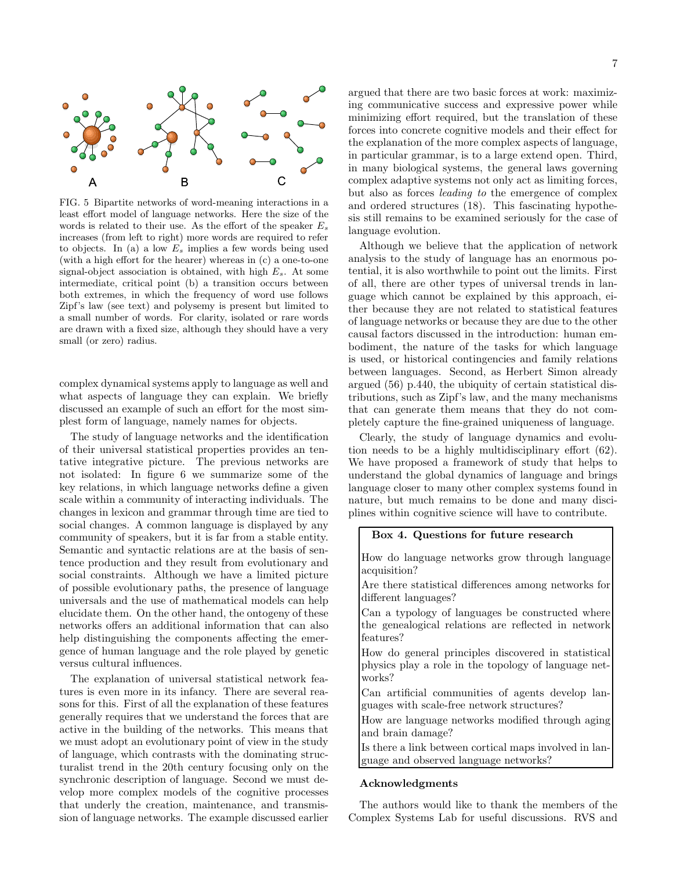

FIG. 5 Bipartite networks of word-meaning interactions in a least effort model of language networks. Here the size of the words is related to their use. As the effort of the speaker  $E_s$ increases (from left to right) more words are required to refer to objects. In (a) a low  $E_s$  implies a few words being used (with a high effort for the hearer) whereas in (c) a one-to-one signal-object association is obtained, with high  $E_s$ . At some intermediate, critical point (b) a transition occurs between both extremes, in which the frequency of word use follows Zipf's law (see text) and polysemy is present but limited to a small number of words. For clarity, isolated or rare words are drawn with a fixed size, although they should have a very small (or zero) radius.

complex dynamical systems apply to language as well and what aspects of language they can explain. We briefly discussed an example of such an effort for the most simplest form of language, namely names for objects.

The study of language networks and the identification of their universal statistical properties provides an tentative integrative picture. The previous networks are not isolated: In figure 6 we summarize some of the key relations, in which language networks define a given scale within a community of interacting individuals. The changes in lexicon and grammar through time are tied to social changes. A common language is displayed by any community of speakers, but it is far from a stable entity. Semantic and syntactic relations are at the basis of sentence production and they result from evolutionary and social constraints. Although we have a limited picture of possible evolutionary paths, the presence of language universals and the use of mathematical models can help elucidate them. On the other hand, the ontogeny of these networks offers an additional information that can also help distinguishing the components affecting the emergence of human language and the role played by genetic versus cultural influences.

The explanation of universal statistical network features is even more in its infancy. There are several reasons for this. First of all the explanation of these features generally requires that we understand the forces that are active in the building of the networks. This means that we must adopt an evolutionary point of view in the study of language, which contrasts with the dominating structuralist trend in the 20th century focusing only on the synchronic description of language. Second we must develop more complex models of the cognitive processes that underly the creation, maintenance, and transmission of language networks. The example discussed earlier

argued that there are two basic forces at work: maximizing communicative success and expressive power while minimizing effort required, but the translation of these forces into concrete cognitive models and their effect for the explanation of the more complex aspects of language, in particular grammar, is to a large extend open. Third, in many biological systems, the general laws governing complex adaptive systems not only act as limiting forces, but also as forces leading to the emergence of complex and ordered structures (18). This fascinating hypothesis still remains to be examined seriously for the case of language evolution.

Although we believe that the application of network analysis to the study of language has an enormous potential, it is also worthwhile to point out the limits. First of all, there are other types of universal trends in language which cannot be explained by this approach, either because they are not related to statistical features of language networks or because they are due to the other causal factors discussed in the introduction: human embodiment, the nature of the tasks for which language is used, or historical contingencies and family relations between languages. Second, as Herbert Simon already argued (56) p.440, the ubiquity of certain statistical distributions, such as Zipf's law, and the many mechanisms that can generate them means that they do not completely capture the fine-grained uniqueness of language.

Clearly, the study of language dynamics and evolution needs to be a highly multidisciplinary effort (62). We have proposed a framework of study that helps to understand the global dynamics of language and brings language closer to many other complex systems found in nature, but much remains to be done and many disciplines within cognitive science will have to contribute.

## Box 4. Questions for future research

How do language networks grow through language acquisition?

Are there statistical differences among networks for different languages?

Can a typology of languages be constructed where the genealogical relations are reflected in network features?

How do general principles discovered in statistical physics play a role in the topology of language networks?

Can artificial communities of agents develop languages with scale-free network structures?

How are language networks modified through aging and brain damage?

Is there a link between cortical maps involved in language and observed language networks?

#### Acknowledgments

The authors would like to thank the members of the Complex Systems Lab for useful discussions. RVS and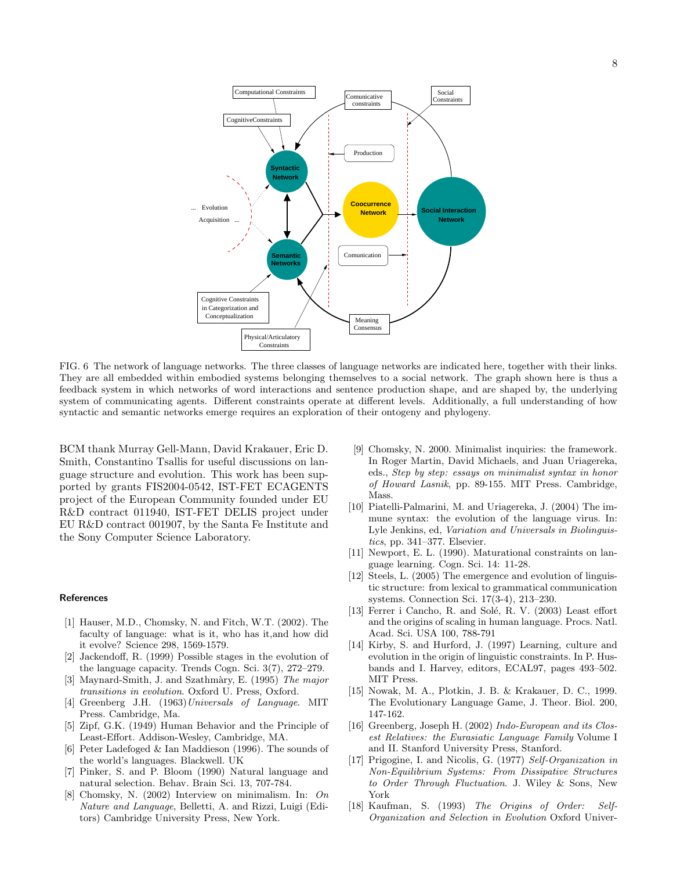

FIG. 6 The network of language networks. The three classes of language networks are indicated here, together with their links. They are all embedded within embodied systems belonging themselves to a social network. The graph shown here is thus a feedback system in which networks of word interactions and sentence production shape, and are shaped by, the underlying system of communicating agents. Different constraints operate at different levels. Additionally, a full understanding of how syntactic and semantic networks emerge requires an exploration of their ontogeny and phylogeny.

BCM thank Murray Gell-Mann, David Krakauer, Eric D. Smith, Constantino Tsallis for useful discussions on language structure and evolution. This work has been supported by grants FIS2004-0542, IST-FET ECAGENTS project of the European Community founded under EU R&D contract 011940, IST-FET DELIS project under EU R&D contract 001907, by the Santa Fe Institute and the Sony Computer Science Laboratory.

## References

- [1] Hauser, M.D., Chomsky, N. and Fitch, W.T. (2002). The faculty of language: what is it, who has it,and how did it evolve? Science 298, 1569-1579.
- [2] Jackendoff, R. (1999) Possible stages in the evolution of the language capacity. Trends Cogn. Sci. 3(7), 272–279.
- [3] Maynard-Smith, J. and Szathmàry, E. (1995) The major transitions in evolution. Oxford U. Press, Oxford.
- [4] Greenberg J.H. (1963)Universals of Language. MIT Press. Cambridge, Ma.
- [5] Zipf, G.K. (1949) Human Behavior and the Principle of Least-Effort. Addison-Wesley, Cambridge, MA.
- [6] Peter Ladefoged & Ian Maddieson (1996). The sounds of the world's languages. Blackwell. UK
- [7] Pinker, S. and P. Bloom (1990) Natural language and natural selection. Behav. Brain Sci. 13, 707-784.
- [8] Chomsky, N. (2002) Interview on minimalism. In: On Nature and Language, Belletti, A. and Rizzi, Luigi (Editors) Cambridge University Press, New York.
- [9] Chomsky, N. 2000. Minimalist inquiries: the framework. In Roger Martin, David Michaels, and Juan Uriagereka, eds., Step by step: essays on minimalist syntax in honor of Howard Lasnik, pp. 89-155. MIT Press. Cambridge, Mass.
- [10] Piatelli-Palmarini, M. and Uriagereka, J. (2004) The immune syntax: the evolution of the language virus. In: Lyle Jenkins, ed, Variation and Universals in Biolinguistics, pp. 341–377. Elsevier.
- [11] Newport, E. L. (1990). Maturational constraints on language learning. Cogn. Sci. 14: 11-28.
- [12] Steels, L. (2005) The emergence and evolution of linguistic structure: from lexical to grammatical communication systems. Connection Sci. 17(3-4), 213–230.
- [13] Ferrer i Cancho, R. and Solé, R. V. (2003) Least effort and the origins of scaling in human language. Procs. Natl. Acad. Sci. USA 100, 788-791
- [14] Kirby, S. and Hurford, J. (1997) Learning, culture and evolution in the origin of linguistic constraints. In P. Husbands and I. Harvey, editors, ECAL97, pages 493–502. MIT Press.
- [15] Nowak, M. A., Plotkin, J. B. & Krakauer, D. C., 1999. The Evolutionary Language Game, J. Theor. Biol. 200, 147-162.
- [16] Greenberg, Joseph H. (2002) Indo-European and its Closest Relatives: the Eurasiatic Language Family Volume I and II. Stanford University Press, Stanford.
- [17] Prigogine, I. and Nicolis, G. (1977) Self-Organization in Non-Equilibrium Systems: From Dissipative Structures to Order Through Fluctuation. J. Wiley & Sons, New York
- [18] Kaufman, S. (1993) The Origins of Order: Self-Organization and Selection in Evolution Oxford Univer-